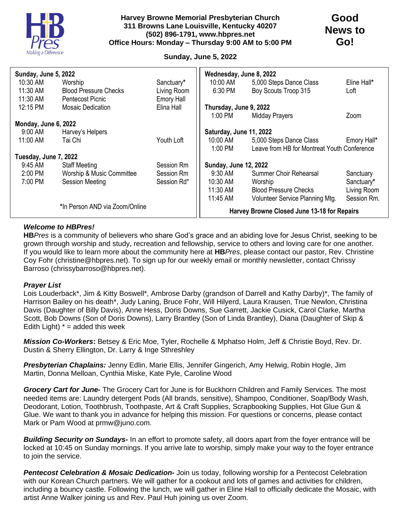

### **Harvey Browne Memorial Presbyterian Church 311 Browns Lane Louisville, Kentucky 40207 (502) 896-1791, www.hbpres.net Office Hours: Monday – Thursday 9:00 AM to 5:00 PM**

# **Good News to Go!**

## **Sunday, June 5, 2022**

| Sunday, June 5, 2022           |                              |                   | Wednesday, June 8, 2022                     |                                             |             |
|--------------------------------|------------------------------|-------------------|---------------------------------------------|---------------------------------------------|-------------|
| 10:30 AM                       | Worship                      | Sanctuary*        | 10:00 AM                                    | 5,000 Steps Dance Class                     | Eline Hall* |
| 11:30 AM                       | <b>Blood Pressure Checks</b> | Living Room       | 6:30 PM                                     | Boy Scouts Troop 315                        | Loft        |
| 11:30 AM                       | <b>Pentecost Picnic</b>      | <b>Emory Hall</b> |                                             |                                             |             |
| 12:15 PM                       | <b>Mosaic Dedication</b>     | Elina Hall        | Thursday, June 9, 2022                      |                                             |             |
|                                |                              |                   | 1:00 PM                                     | <b>Midday Prayers</b>                       | Zoom        |
| Monday, June 6, 2022           |                              |                   |                                             |                                             |             |
| 9:00 AM                        | Harvey's Helpers             |                   | Saturday, June 11, 2022                     |                                             |             |
| 11:00 AM                       | Tai Chi                      | Youth Loft        | 10:00 AM                                    | 5,000 Steps Dance Class                     | Emory Hall* |
|                                |                              |                   | 1:00 PM                                     | Leave from HB for Montreat Youth Conference |             |
| Tuesday, June 7, 2022          |                              |                   |                                             |                                             |             |
| 9:45 AM                        | <b>Staff Meeting</b>         | Session Rm        | <b>Sunday, June 12, 2022</b>                |                                             |             |
| 2:00 PM                        | Worship & Music Committee    | Session Rm        | 9:30 AM                                     | Summer Choir Rehearsal                      | Sanctuary   |
| 7:00 PM                        | <b>Session Meeting</b>       | Session Rd*       | 10:30 AM                                    | Worship                                     | Sanctuary*  |
|                                |                              |                   | 11:30 AM                                    | <b>Blood Pressure Checks</b>                | Living Room |
|                                |                              |                   | 11:45 AM                                    | Volunteer Service Planning Mtg.             | Session Rm. |
| *In Person AND via Zoom/Online |                              |                   | Harvey Browne Closed June 13-18 for Repairs |                                             |             |

### *Welcome to HBPres!*

**HB***Pres* is a community of believers who share God's grace and an abiding love for Jesus Christ, seeking to be grown through worship and study, recreation and fellowship, service to others and loving care for one another. If you would like to learn more about the community here at **HB***Pres*, please contact our pastor, Rev. Christine Coy Fohr (christine@hbpres.net). To sign up for our weekly email or monthly newsletter, contact Chrissy Barroso (chrissybarroso@hbpres.net).

#### *Prayer List*

Lois Louderback\*, Jim & Kitty Boswell\*, Ambrose Darby (grandson of Darrell and Kathy Darby)\*, The family of Harrison Bailey on his death\*, Judy Laning, Bruce Fohr, Will Hilyerd, Laura Krausen, True Newlon, Christina Davis (Daughter of Billy Davis), Anne Hess, Doris Downs, Sue Garrett, Jackie Cusick, Carol Clarke, Martha Scott, Bob Downs (Son of Doris Downs), Larry Brantley (Son of Linda Brantley), Diana (Daughter of Skip & Edith Light)  $* =$  added this week

*Mission Co-Workers***:** Betsey & Eric Moe, Tyler, Rochelle & Mphatso Holm, Jeff & Christie Boyd, Rev. Dr. Dustin & Sherry Ellington, Dr. Larry & Inge Sthreshley

*Presbyterian Chaplains:* Jenny Edlin, Marie Ellis, Jennifer Gingerich, Amy Helwig, Robin Hogle, Jim Martin, Donna Melloan, Cynthia Miske, Kate Pyle, Caroline Wood

*Grocery Cart for June-* The Grocery Cart for June is for Buckhorn Children and Family Services. The most needed items are: Laundry detergent Pods (All brands, sensitive), Shampoo, Conditioner, Soap/Body Wash, Deodorant, Lotion, Toothbrush, Toothpaste, Art & Craft Supplies, Scrapbooking Supplies, Hot Glue Gun & Glue. We want to thank you in advance for helping this mission. For questions or concerns, please contact Mark or Pam Wood at prmw@juno.com.

*Building Security on Sundays-* In an effort to promote safety, all doors apart from the foyer entrance will be locked at 10:45 on Sunday mornings. If you arrive late to worship, simply make your way to the foyer entrance to join the service.

*Pentecost Celebration & Mosaic Dedication-* Join us today, following worship for a Pentecost Celebration with our Korean Church partners. We will gather for a cookout and lots of games and activities for children, including a bouncy castle. Following the lunch, we will gather in Eline Hall to officially dedicate the Mosaic, with artist Anne Walker joining us and Rev. Paul Huh joining us over Zoom.